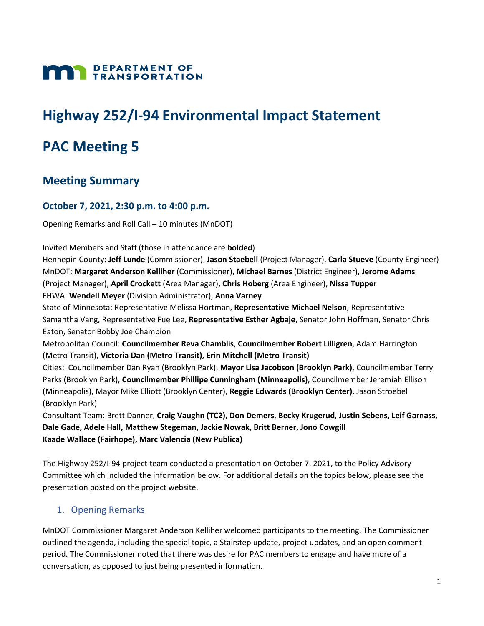

# **Highway 252/I-94 Environmental Impact Statement**

# **PAC Meeting 5**

## **Meeting Summary**

#### **October 7, 2021, 2:30 p.m. to 4:00 p.m.**

Opening Remarks and Roll Call – 10 minutes (MnDOT)

Invited Members and Staff (those in attendance are **bolded**)

Hennepin County: **Jeff Lunde** (Commissioner), **Jason Staebell** (Project Manager), **Carla Stueve** (County Engineer) MnDOT: **Margaret Anderson Kelliher** (Commissioner), **Michael Barnes** (District Engineer), **Jerome Adams** (Project Manager), **April Crockett** (Area Manager), **Chris Hoberg** (Area Engineer), **Nissa Tupper** FHWA: **Wendell Meyer** (Division Administrator), **Anna Varney**

State of Minnesota: Representative Melissa Hortman, **Representative Michael Nelson**, Representative Samantha Vang, Representative Fue Lee, **Representative Esther Agbaje**, Senator John Hoffman, Senator Chris Eaton, Senator Bobby Joe Champion

Metropolitan Council: **Councilmember Reva Chamblis**, **Councilmember Robert Lilligren**, Adam Harrington (Metro Transit), **Victoria Dan (Metro Transit), Erin Mitchell (Metro Transit)**

Cities: Councilmember Dan Ryan (Brooklyn Park), **Mayor Lisa Jacobson (Brooklyn Park)**, Councilmember Terry Parks (Brooklyn Park), **Councilmember Phillipe Cunningham (Minneapolis)**, Councilmember Jeremiah Ellison (Minneapolis), Mayor Mike Elliott (Brooklyn Center), **Reggie Edwards (Brooklyn Center)**, Jason Stroebel (Brooklyn Park)

Consultant Team: Brett Danner, **Craig Vaughn (TC2)**, **Don Demers**, **Becky Krugerud**, **Justin Sebens**, **Leif Garnass**, **Dale Gade, Adele Hall, Matthew Stegeman, Jackie Nowak, Britt Berner, Jono Cowgill Kaade Wallace (Fairhope), Marc Valencia (New Publica)**

The Highway 252/I-94 project team conducted a presentation on October 7, 2021, to the Policy Advisory Committee which included the information below. For additional details on the topics below, please see the presentation posted on the project website.

## 1. Opening Remarks

MnDOT Commissioner Margaret Anderson Kelliher welcomed participants to the meeting. The Commissioner outlined the agenda, including the special topic, a Stairstep update, project updates, and an open comment period. The Commissioner noted that there was desire for PAC members to engage and have more of a conversation, as opposed to just being presented information.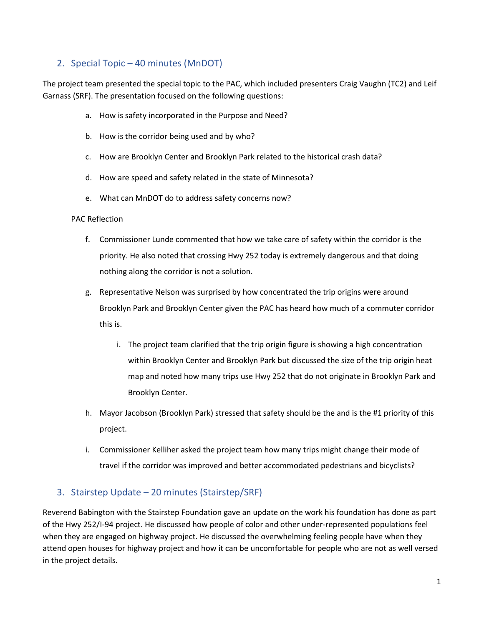## 2. Special Topic – 40 minutes (MnDOT)

The project team presented the special topic to the PAC, which included presenters Craig Vaughn (TC2) and Leif Garnass (SRF). The presentation focused on the following questions:

- a. How is safety incorporated in the Purpose and Need?
- b. How is the corridor being used and by who?
- c. How are Brooklyn Center and Brooklyn Park related to the historical crash data?
- d. How are speed and safety related in the state of Minnesota?
- e. What can MnDOT do to address safety concerns now?

#### PAC Reflection

- f. Commissioner Lunde commented that how we take care of safety within the corridor is the priority. He also noted that crossing Hwy 252 today is extremely dangerous and that doing nothing along the corridor is not a solution.
- g. Representative Nelson was surprised by how concentrated the trip origins were around Brooklyn Park and Brooklyn Center given the PAC has heard how much of a commuter corridor this is.
	- i. The project team clarified that the trip origin figure is showing a high concentration within Brooklyn Center and Brooklyn Park but discussed the size of the trip origin heat map and noted how many trips use Hwy 252 that do not originate in Brooklyn Park and Brooklyn Center.
- h. Mayor Jacobson (Brooklyn Park) stressed that safety should be the and is the #1 priority of this project.
- i. Commissioner Kelliher asked the project team how many trips might change their mode of travel if the corridor was improved and better accommodated pedestrians and bicyclists?

## 3. Stairstep Update – 20 minutes (Stairstep/SRF)

Reverend Babington with the Stairstep Foundation gave an update on the work his foundation has done as part of the Hwy 252/I-94 project. He discussed how people of color and other under-represented populations feel when they are engaged on highway project. He discussed the overwhelming feeling people have when they attend open houses for highway project and how it can be uncomfortable for people who are not as well versed in the project details.